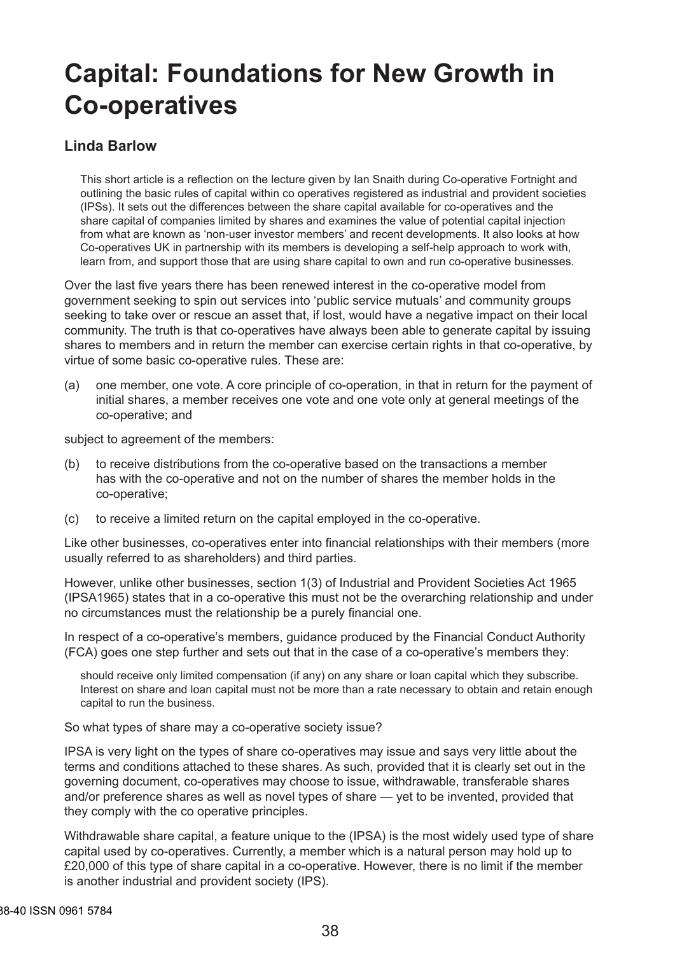# **Capital: Foundations for New Growth in Co-operatives**

#### **Linda Barlow**

This short article is a reflection on the lecture given by Ian Snaith during Co-operative Fortnight and outlining the basic rules of capital within co operatives registered as industrial and provident societies (IPSs). It sets out the differences between the share capital available for co-operatives and the share capital of companies limited by shares and examines the value of potential capital injection from what are known as 'non-user investor members' and recent developments. It also looks at how Co-operatives UK in partnership with its members is developing a self-help approach to work with, learn from, and support those that are using share capital to own and run co-operative businesses.

Over the last five years there has been renewed interest in the co-operative model from government seeking to spin out services into 'public service mutuals' and community groups seeking to take over or rescue an asset that, if lost, would have a negative impact on their local community. The truth is that co-operatives have always been able to generate capital by issuing shares to members and in return the member can exercise certain rights in that co-operative, by virtue of some basic co-operative rules. These are:

(a) one member, one vote. A core principle of co-operation, in that in return for the payment of initial shares, a member receives one vote and one vote only at general meetings of the co-operative; and

subject to agreement of the members:

- (b) to receive distributions from the co-operative based on the transactions a member has with the co-operative and not on the number of shares the member holds in the co-operative;
- (c) to receive a limited return on the capital employed in the co-operative.

Like other businesses, co-operatives enter into financial relationships with their members (more usually referred to as shareholders) and third parties.

However, unlike other businesses, section 1(3) of Industrial and Provident Societies Act 1965 (IPSA1965) states that in a co-operative this must not be the overarching relationship and under no circumstances must the relationship be a purely financial one.

In respect of a co-operative's members, guidance produced by the Financial Conduct Authority (FCA) goes one step further and sets out that in the case of a co-operative's members they:

should receive only limited compensation (if any) on any share or loan capital which they subscribe. Interest on share and loan capital must not be more than a rate necessary to obtain and retain enough capital to run the business.

So what types of share may a co-operative society issue?

IPSA is very light on the types of share co-operatives may issue and says very little about the terms and conditions attached to these shares. As such, provided that it is clearly set out in the governing document, co-operatives may choose to issue, withdrawable, transferable shares and/or preference shares as well as novel types of share — yet to be invented, provided that they comply with the co operative principles.

Withdrawable share capital, a feature unique to the (IPSA) is the most widely used type of share capital used by co-operatives. Currently, a member which is a natural person may hold up to £20,000 of this type of share capital in a co-operative. However, there is no limit if the member is another industrial and provident society (IPS).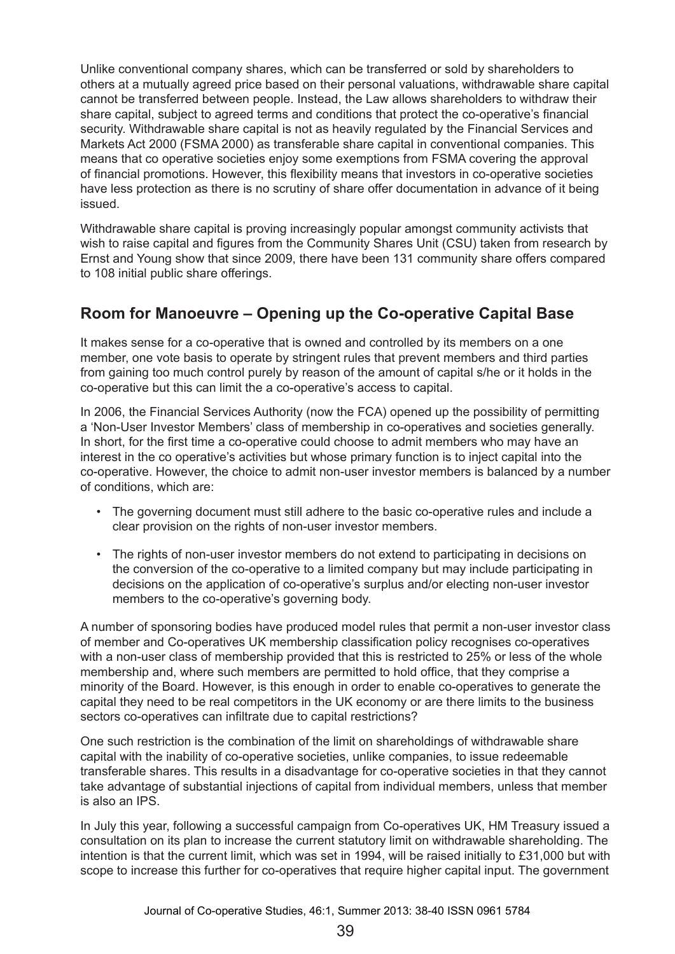Unlike conventional company shares, which can be transferred or sold by shareholders to others at a mutually agreed price based on their personal valuations, withdrawable share capital cannot be transferred between people. Instead, the Law allows shareholders to withdraw their share capital, subject to agreed terms and conditions that protect the co-operative's financial security. Withdrawable share capital is not as heavily regulated by the Financial Services and Markets Act 2000 (FSMA 2000) as transferable share capital in conventional companies. This means that co operative societies enjoy some exemptions from FSMA covering the approval of financial promotions. However, this flexibility means that investors in co-operative societies have less protection as there is no scrutiny of share offer documentation in advance of it being issued.

Withdrawable share capital is proving increasingly popular amongst community activists that wish to raise capital and figures from the Community Shares Unit (CSU) taken from research by Ernst and Young show that since 2009, there have been 131 community share offers compared to 108 initial public share offerings.

# **Room for Manoeuvre – Opening up the Co-operative Capital Base**

It makes sense for a co-operative that is owned and controlled by its members on a one member, one vote basis to operate by stringent rules that prevent members and third parties from gaining too much control purely by reason of the amount of capital s/he or it holds in the co-operative but this can limit the a co-operative's access to capital.

In 2006, the Financial Services Authority (now the FCA) opened up the possibility of permitting a 'Non-User Investor Members' class of membership in co-operatives and societies generally. In short, for the first time a co-operative could choose to admit members who may have an interest in the co operative's activities but whose primary function is to inject capital into the co-operative. However, the choice to admit non-user investor members is balanced by a number of conditions, which are:

- The governing document must still adhere to the basic co-operative rules and include a clear provision on the rights of non-user investor members.
- The rights of non-user investor members do not extend to participating in decisions on the conversion of the co-operative to a limited company but may include participating in decisions on the application of co-operative's surplus and/or electing non-user investor members to the co-operative's governing body.

A number of sponsoring bodies have produced model rules that permit a non-user investor class of member and Co-operatives UK membership classification policy recognises co-operatives with a non-user class of membership provided that this is restricted to 25% or less of the whole membership and, where such members are permitted to hold office, that they comprise a minority of the Board. However, is this enough in order to enable co-operatives to generate the capital they need to be real competitors in the UK economy or are there limits to the business sectors co-operatives can infiltrate due to capital restrictions?

One such restriction is the combination of the limit on shareholdings of withdrawable share capital with the inability of co-operative societies, unlike companies, to issue redeemable transferable shares. This results in a disadvantage for co-operative societies in that they cannot take advantage of substantial injections of capital from individual members, unless that member is also an IPS.

In July this year, following a successful campaign from Co-operatives UK, HM Treasury issued a consultation on its plan to increase the current statutory limit on withdrawable shareholding. The intention is that the current limit, which was set in 1994, will be raised initially to £31,000 but with scope to increase this further for co-operatives that require higher capital input. The government